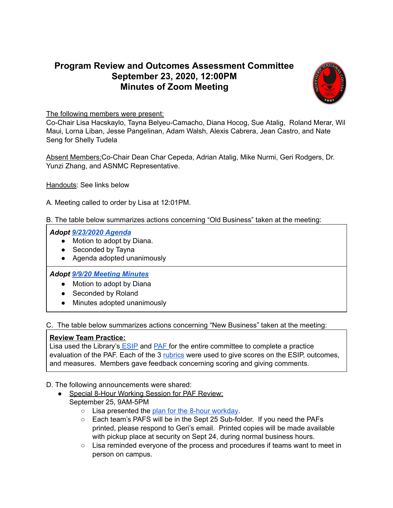## **Program Review and Outcomes Assessment Committee September 23, 2020, 12:00PM Minutes of Zoom Meeting**



The following members were present:

Co-Chair Lisa Hacskaylo, Tayna Belyeu-Camacho, Diana Hocog, Sue Atalig, Roland Merar, Wil Maui, Lorna Liban, Jesse Pangelinan, Adam Walsh, Alexis Cabrera, Jean Castro, and Nate Seng for Shelly Tudela

Absent Members:Co-Chair Dean Char Cepeda, Adrian Atalig, Mike Nurmi, Geri Rodgers, Dr. Yunzi Zhang, and ASNMC Representative.

Handouts: See links below

A. Meeting called to order by Lisa at 12:01PM.

B. The table below summarizes actions concerning "Old Business" taken at the meeting:

## *Adopt [9/23/2020](https://docs.google.com/document/d/1xFfQA_qz_Z1DgZYB9ngcfa6wlLme7m8AfvbZfxfu1pI/edit) Agenda*

- Motion to adopt by Diana.
- Seconded by Tayna
- Agenda adopted unanimously

## *Adopt 9/9/20 Meeting [Minutes](https://docs.google.com/document/d/1Ac-ogeVzc3vOJElJP4KwO3_C1zVgw_TT5l3mfSUP-Hw/edit#heading=h.gjdgxs)*

- Motion to adopt by Diana
- Seconded by Roland
- Minutes adopted unanimously

C. The table below summarizes actions concerning "New Business" taken at the meeting:

## **Review Team Practice:**

Lisa used the Library's [ESIP](https://docs.google.com/document/d/1kU5xRA510rK37TWuqK3G1eCvCK_NGJbA4XnLABUxx7o/edit) and [PAF](https://drive.google.com/file/d/1qE9c8L8-lBiAv1DSTbRIB0l6PjHTL_yR/view?usp=sharing) for the entire committee to complete a practice evaluation of the PAF. Each of the 3 [rubrics](https://docs.google.com/presentation/d/15lptbdntmcbCbMk4an5upGl-f8YCA7tFmLRuYngL8rY/edit?usp=sharing) were used to give scores on the ESIP, outcomes, and measures. Members gave feedback concerning scoring and giving comments.

- D. The following announcements were shared:
	- Special 8-Hour Working Session for PAF Review: September 25, 9AM-5PM
		- Lisa presented the plan for the 8-hour [workday](https://docs.google.com/document/d/1qcskplaNaecNMfdtol5xTgsxswJrDX1Pw4IwGvqNaBk/edit).
		- Each team's PAFS will be in the Sept 25 Sub-folder. If you need the PAFs printed, please respond to Geri's email. Printed copies will be made available with pickup place at security on Sept 24, during normal business hours.
		- Lisa reminded everyone of the process and procedures if teams want to meet in person on campus.